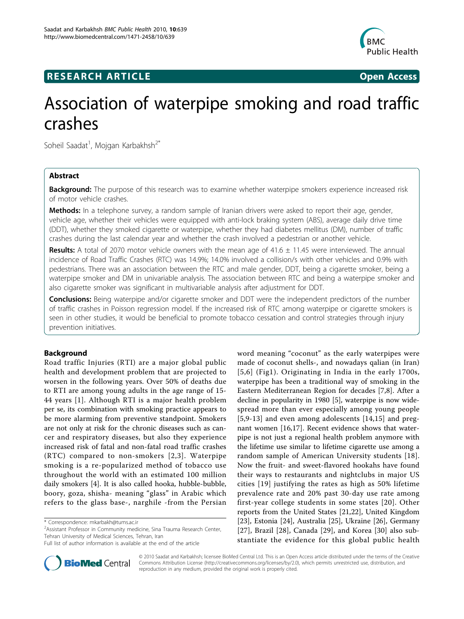## **BMC Public Health**

### **RESEARCH ARTICLE Example 2018 CONSIDERING ACCESS**



# Association of waterpipe smoking and road traffic crashes

Soheil Saadat<sup>1</sup>, Mojgan Karbakhsh<sup>2\*</sup>

#### Abstract

**Background:** The purpose of this research was to examine whether waterpipe smokers experience increased risk of motor vehicle crashes.

Methods: In a telephone survey, a random sample of Iranian drivers were asked to report their age, gender, vehicle age, whether their vehicles were equipped with anti-lock braking system (ABS), average daily drive time (DDT), whether they smoked cigarette or waterpipe, whether they had diabetes mellitus (DM), number of traffic crashes during the last calendar year and whether the crash involved a pedestrian or another vehicle.

**Results:** A total of 2070 motor vehicle owners with the mean age of 41.6  $\pm$  11.45 were interviewed. The annual incidence of Road Traffic Crashes (RTC) was 14.9%; 14.0% involved a collision/s with other vehicles and 0.9% with pedestrians. There was an association between the RTC and male gender, DDT, being a cigarette smoker, being a waterpipe smoker and DM in univariable analysis. The association between RTC and being a waterpipe smoker and also cigarette smoker was significant in multivariable analysis after adjustment for DDT.

**Conclusions:** Being waterpipe and/or cigarette smoker and DDT were the independent predictors of the number of traffic crashes in Poisson regression model. If the increased risk of RTC among waterpipe or cigarette smokers is seen in other studies, it would be beneficial to promote tobacco cessation and control strategies through injury prevention initiatives.

#### Background

Road traffic Injuries (RTI) are a major global public health and development problem that are projected to worsen in the following years. Over 50% of deaths due to RTI are among young adults in the age range of 15- 44 years [\[1](#page-4-0)]. Although RTI is a major health problem per se, its combination with smoking practice appears to be more alarming from preventive standpoint. Smokers are not only at risk for the chronic diseases such as cancer and respiratory diseases, but also they experience increased risk of fatal and non-fatal road traffic crashes (RTC) compared to non-smokers [[2,3\]](#page-4-0). Waterpipe smoking is a re-popularized method of tobacco use throughout the world with an estimated 100 million daily smokers [[4\]](#page-4-0). It is also called hooka, hubble-bubble, boory, goza, shisha- meaning "glass" in Arabic which refers to the glass base-, narghile -from the Persian

<sup>2</sup> Assistant Professor in Community medicine, Sina Trauma Research Center, Tehran University of Medical Sciences, Tehran, Iran

Full list of author information is available at the end of the article



**BioMed** Central

© 2010 Saadat and Karbakhsh; licensee BioMed Central Ltd. This is an Open Access article distributed under the terms of the Creative Commons Attribution License [\(http://creativecommons.org/licenses/by/2.0](http://creativecommons.org/licenses/by/2.0)), which permits unrestricted use, distribution, and reproduction in any medium, provided the original work is properly cited.

<sup>\*</sup> Correspondence: [mkarbakh@tums.ac.ir](mailto:mkarbakh@tums.ac.ir)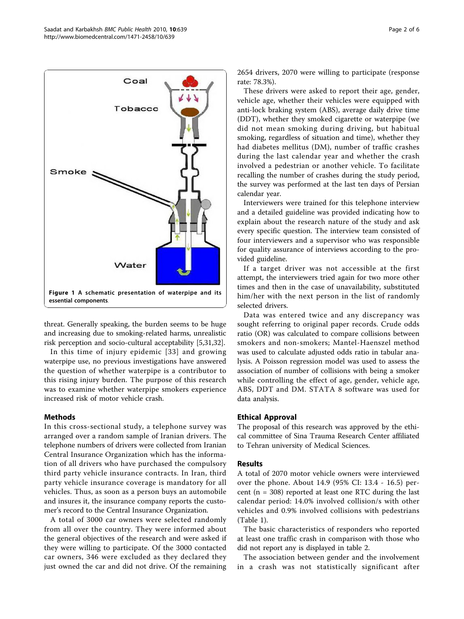<span id="page-1-0"></span>

threat. Generally speaking, the burden seems to be huge and increasing due to smoking-related harms, unrealistic risk perception and socio-cultural acceptability [\[5](#page-4-0)[,31,32\]](#page-5-0).

In this time of injury epidemic [[33](#page-5-0)] and growing waterpipe use, no previous investigations have answered the question of whether waterpipe is a contributor to this rising injury burden. The purpose of this research was to examine whether waterpipe smokers experience increased risk of motor vehicle crash.

#### Methods

In this cross-sectional study, a telephone survey was arranged over a random sample of Iranian drivers. The telephone numbers of drivers were collected from Iranian Central Insurance Organization which has the information of all drivers who have purchased the compulsory third party vehicle insurance contracts. In Iran, third party vehicle insurance coverage is mandatory for all vehicles. Thus, as soon as a person buys an automobile and insures it, the insurance company reports the customer's record to the Central Insurance Organization.

A total of 3000 car owners were selected randomly from all over the country. They were informed about the general objectives of the research and were asked if they were willing to participate. Of the 3000 contacted car owners, 346 were excluded as they declared they just owned the car and did not drive. Of the remaining

2654 drivers, 2070 were willing to participate (response rate: 78.3%).

These drivers were asked to report their age, gender, vehicle age, whether their vehicles were equipped with anti-lock braking system (ABS), average daily drive time (DDT), whether they smoked cigarette or waterpipe (we did not mean smoking during driving, but habitual smoking, regardless of situation and time), whether they had diabetes mellitus (DM), number of traffic crashes during the last calendar year and whether the crash involved a pedestrian or another vehicle. To facilitate recalling the number of crashes during the study period, the survey was performed at the last ten days of Persian calendar year.

Interviewers were trained for this telephone interview and a detailed guideline was provided indicating how to explain about the research nature of the study and ask every specific question. The interview team consisted of four interviewers and a supervisor who was responsible for quality assurance of interviews according to the provided guideline.

If a target driver was not accessible at the first attempt, the interviewers tried again for two more other times and then in the case of unavailability, substituted him/her with the next person in the list of randomly selected drivers.

Data was entered twice and any discrepancy was sought referring to original paper records. Crude odds ratio (OR) was calculated to compare collisions between smokers and non-smokers; Mantel-Haenszel method was used to calculate adjusted odds ratio in tabular analysis. A Poisson regression model was used to assess the association of number of collisions with being a smoker while controlling the effect of age, gender, vehicle age, ABS, DDT and DM. STATA 8 software was used for data analysis.

#### Ethical Approval

The proposal of this research was approved by the ethical committee of Sina Trauma Research Center affiliated to Tehran university of Medical Sciences.

#### Results

A total of 2070 motor vehicle owners were interviewed over the phone. About 14.9 (95% CI: 13.4 - 16.5) percent ( $n = 308$ ) reported at least one RTC during the last calendar period: 14.0% involved collision/s with other vehicles and 0.9% involved collisions with pedestrians (Table [1\)](#page-2-0).

The basic characteristics of responders who reported at least one traffic crash in comparison with those who did not report any is displayed in table [2.](#page-2-0)

The association between gender and the involvement in a crash was not statistically significant after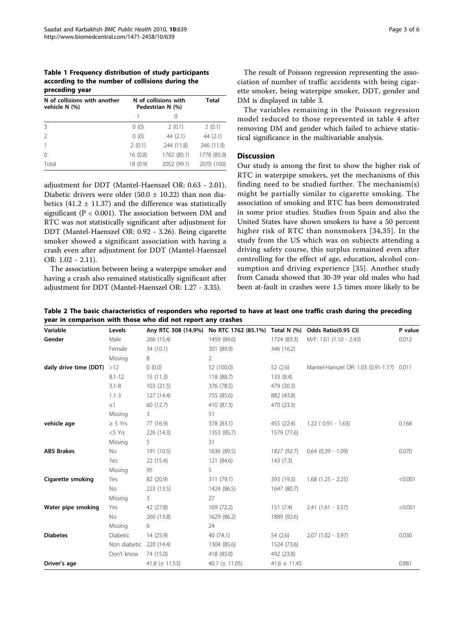<span id="page-2-0"></span>Table 1 Frequency distribution of study participants according to the number of collisions during the preceding year

| N of collisions with another<br>vehicle N (%) | N of collisions with<br>Pedestrian N (%) | Total       |             |
|-----------------------------------------------|------------------------------------------|-------------|-------------|
|                                               |                                          | $^{()}$     |             |
| 3                                             | 0(0)                                     | 2(0.1)      | 2(0.1)      |
| $\mathcal{P}$                                 | 0(0)                                     | 44(2.1)     | 44 $(2.1)$  |
|                                               | 2(0.1)                                   | 244 (11.8)  | 246 (11.9)  |
| $\Omega$                                      | 16(0.8)                                  | 1762 (85.1) | 1778 (85.9) |
| Total                                         | 18 (0.9)                                 | 2052 (99.1) | 2070 (100)  |

adjustment for DDT (Mantel-Haenszel OR: 0.63 - 2.01). Diabetic drivers were older (50.0  $\pm$  10.22) than non diabetics  $(41.2 \pm 11.37)$  and the difference was statistically significant ( $P < 0.001$ ). The association between DM and RTC was not statistically significant after adjustment for DDT (Mantel-Haenszel OR: 0.92 - 3.26). Being cigarette smoker showed a significant association with having a crash even after adjustment for DDT (Mantel-Haenszel OR: 1.02 - 2.11).

The association between being a waterpipe smoker and having a crash also remained statistically significant after adjustment for DDT (Mantel-Haenszel OR: 1.27 - 3.35).

The result of Poisson regression representing the association of number of traffic accidents with being cigarette smoker, being waterpipe smoker, DDT, gender and DM is displayed in table [3](#page-3-0).

The variables remaining in the Poisson regression model reduced to those represented in table [4](#page-3-0) after removing DM and gender which failed to achieve statistical significance in the multivariable analysis.

#### **Discussion**

Our study is among the first to show the higher risk of RTC in waterpipe smokers, yet the mechanisms of this finding need to be studied further. The mechanism(s) might be partially similar to cigarette smoking. The association of smoking and RTC has been demonstrated in some prior studies. Studies from Spain and also the United States have shown smokers to have a 50 percent higher risk of RTC than nonsmokers [[34,35\]](#page-5-0). In the study from the US which was on subjects attending a driving safety course, this surplus remained even after controlling for the effect of age, education, alcohol consumption and driving experience [[35\]](#page-5-0). Another study from Canada showed that 30-39 year old males who had been at-fault in crashes were 1.5 times more likely to be

Table 2 The basic characteristics of responders who reported to have at least one traffic crash during the preceding year in comparison with those who did not report any crashes

| Variable                 | Levels          |                    | Any RTC 308 (14.9%) No RTC 1762 (85.1%) Total N (%) |                  | Odds Ratio(0.95 CI)                       | P value |
|--------------------------|-----------------|--------------------|-----------------------------------------------------|------------------|-------------------------------------------|---------|
| Gender                   | Male            | 266 (15.4)         | 1459 (84.6)                                         | 1724 (83.3)      | M/F: 1.61 (1.10 - 2.43)                   | 0.012   |
|                          | Female          | 34 (10.1)          | 301 (89.9)                                          | 346 (16.2)       |                                           |         |
|                          | Missing         | 8                  | $\overline{2}$                                      |                  |                                           |         |
| daily drive time (DDT)   | $>12$           | 0(0.0)             | 52 (100.0)                                          | 52(2.6)          | Mantel-Hanszel OR: 1.03 (0.91-1.17) 0.011 |         |
|                          | $8.1 - 12$      | 15(11.3)           | 118 (88.7)                                          | 133 (8.4)        |                                           |         |
|                          | $3.1 - 8$       | 103(21.5)          | 376 (78.5)                                          | 479 (30.3)       |                                           |         |
|                          | $1.1 - 3$       | 127 (14.4)         | 755 (85.6)                                          | 882 (43.8)       |                                           |         |
|                          | $\leq$ 1        | 60 (12.7)          | 410 (87.3)                                          | 470 (23.3)       |                                           |         |
|                          | Missing         | 3                  | 51                                                  |                  |                                           |         |
| vehicle age              | $\geq$ 5 Yrs    | 77 (16.9)          | 378 (83.1)                                          | 455 (22.4)       | $1.22$ ( 0.91 - 1.63)                     | 0.168   |
|                          | $< 5$ Yrs       | 226 (14.3)         | 1353 (85.7)                                         | 1579 (77.6)      |                                           |         |
|                          | Missing         | 5                  | 31                                                  |                  |                                           |         |
| <b>ABS Brakes</b>        | No              | 191 (10.5)         | 1636 (89.5)                                         | 1827 (92.7)      | $0.64$ $(0.39 - 1.09)$                    | 0.070   |
|                          | Yes             | 22 (15.4)          | 121 (84.6)                                          | 143(7.3)         |                                           |         |
|                          | Missing         | 95                 | 5                                                   |                  |                                           |         |
| <b>Cigarette smoking</b> | Yes             | 82 (20.9)          | 311 (79.1)                                          | 393 (19.3)       | $1.68$ $(1.25 - 2.25)$                    | < 0.001 |
|                          | <b>No</b>       | 223 (13.5)         | 1424 (86.5)                                         | 1647 (80.7)      |                                           |         |
|                          | Missing         | 3                  | 27                                                  |                  |                                           |         |
| Water pipe smoking       | Yes             | 42 (27.8)          | 109 (72.2)                                          | 151(7.4)         | $2.41(1.61 - 3.57)$                       | < 0.001 |
|                          | No              | 260 (13.8)         | 1629 (86.2)                                         | 1889 (92.6)      |                                           |         |
|                          | Missing         | 6                  | 24                                                  |                  |                                           |         |
| <b>Diabetes</b>          | <b>Diabetic</b> | 14 (25.9)          | 40(74.1)                                            | 54 (2.6)         | $2.07(1.02 - 3.97)$                       | 0.030   |
|                          | Non diabetic    | 220 (14.4)         | 1304 (85.6)                                         | 1524 (73.6)      |                                           |         |
|                          | Don't know      | 74 (15.0)          | 418 (85.0)                                          | 492 (23.8)       |                                           |         |
| Driver's age             |                 | 41.8 $(\pm$ 11.53) | 40.7 ( $\pm$ 11.05)                                 | $41.6 \pm 11.45$ |                                           | 0.881   |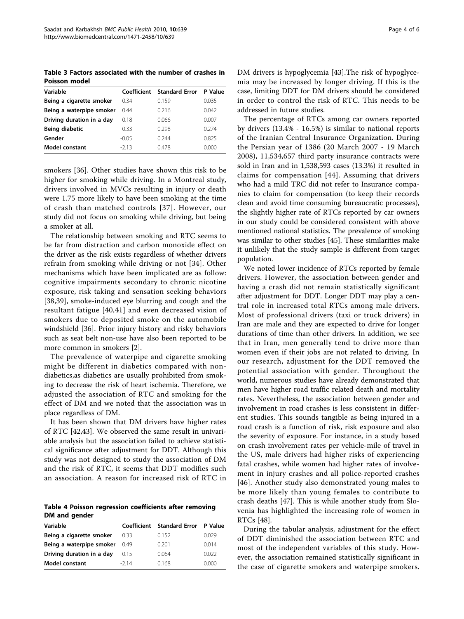<span id="page-3-0"></span>Table 3 Factors associated with the number of crashes in Poisson model

|         |       | P Value                    |
|---------|-------|----------------------------|
| 0.34    | 0.159 | 0.035                      |
| 0.44    | 0216  | 0.042                      |
| 0.18    | 0.066 | 0.007                      |
| 0.33    | 0.298 | 0.274                      |
| $-0.05$ | 0.244 | 0.825                      |
| -213    | 0.478 | 0.000                      |
|         |       | Coefficient Standard Error |

smokers [[36](#page-5-0)]. Other studies have shown this risk to be higher for smoking while driving. In a Montreal study, drivers involved in MVCs resulting in injury or death were 1.75 more likely to have been smoking at the time of crash than matched controls [[37\]](#page-5-0). However, our study did not focus on smoking while driving, but being a smoker at all.

The relationship between smoking and RTC seems to be far from distraction and carbon monoxide effect on the driver as the risk exists regardless of whether drivers refrain from smoking while driving or not [[34](#page-5-0)]. Other mechanisms which have been implicated are as follow: cognitive impairments secondary to chronic nicotine exposure, risk taking and sensation seeking behaviors [[38,39](#page-5-0)], smoke-induced eye blurring and cough and the resultant fatigue [[40](#page-5-0),[41\]](#page-5-0) and even decreased vision of smokers due to deposited smoke on the automobile windshield [[36\]](#page-5-0). Prior injury history and risky behaviors such as seat belt non-use have also been reported to be more common in smokers [[2\]](#page-4-0).

The prevalence of waterpipe and cigarette smoking might be different in diabetics compared with nondiabetics,as diabetics are usually prohibited from smoking to decrease the risk of heart ischemia. Therefore, we adjusted the association of RTC and smoking for the effect of DM and we noted that the association was in place regardless of DM.

It has been shown that DM drivers have higher rates of RTC [[42](#page-5-0),[43](#page-5-0)]. We observed the same result in univariable analysis but the association failed to achieve statistical significance after adjustment for DDT. Although this study was not designed to study the association of DM and the risk of RTC, it seems that DDT modifies such an association. A reason for increased risk of RTC in

Table 4 Poisson regression coefficients after removing DM and gender

|      |       | <b>P</b> Value             |
|------|-------|----------------------------|
| 0.33 | 0.152 | 0.029                      |
| 0.49 | 0.201 | 0.014                      |
| 0.15 | 0.064 | 0.022                      |
| -214 | 0.168 | 0.000                      |
|      |       | Coefficient Standard Error |

DM drivers is hypoglycemia [[43\]](#page-5-0).The risk of hypoglycemia may be increased by longer driving. If this is the case, limiting DDT for DM drivers should be considered in order to control the risk of RTC. This needs to be addressed in future studies.

The percentage of RTCs among car owners reported by drivers (13.4% - 16.5%) is similar to national reports of the Iranian Central Insurance Organization. During the Persian year of 1386 (20 March 2007 - 19 March 2008), 11,534,657 third party insurance contracts were sold in Iran and in 1,538,593 cases (13.3%) it resulted in claims for compensation [[44](#page-5-0)]. Assuming that drivers who had a mild TRC did not refer to Insurance companies to claim for compensation (to keep their records clean and avoid time consuming bureaucratic processes), the slightly higher rate of RTCs reported by car owners in our study could be considered consistent with above mentioned national statistics. The prevalence of smoking was similar to other studies [\[45\]](#page-5-0). These similarities make it unlikely that the study sample is different from target population.

We noted lower incidence of RTCs reported by female drivers. However, the association between gender and having a crash did not remain statistically significant after adjustment for DDT. Longer DDT may play a central role in increased total RTCs among male drivers. Most of professional drivers (taxi or truck drivers) in Iran are male and they are expected to drive for longer durations of time than other drivers. In addition, we see that in Iran, men generally tend to drive more than women even if their jobs are not related to driving. In our research, adjustment for the DDT removed the potential association with gender. Throughout the world, numerous studies have already demonstrated that men have higher road traffic related death and mortality rates. Nevertheless, the association between gender and involvement in road crashes is less consistent in different studies. This sounds tangible as being injured in a road crash is a function of risk, risk exposure and also the severity of exposure. For instance, in a study based on crash involvement rates per vehicle-mile of travel in the US, male drivers had higher risks of experiencing fatal crashes, while women had higher rates of involvement in injury crashes and all police-reported crashes [[46](#page-5-0)]. Another study also demonstrated young males to be more likely than young females to contribute to crash deaths [[47\]](#page-5-0). This is while another study from Slovenia has highlighted the increasing role of women in RTCs [\[48\]](#page-5-0).

During the tabular analysis, adjustment for the effect of DDT diminished the association between RTC and most of the independent variables of this study. However, the association remained statistically significant in the case of cigarette smokers and waterpipe smokers.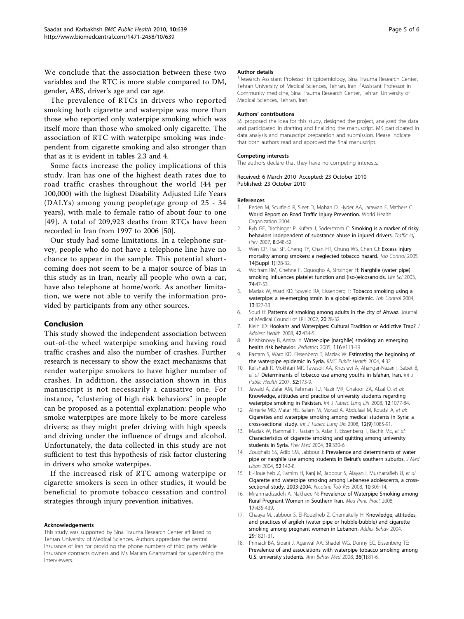<span id="page-4-0"></span>We conclude that the association between these two variables and the RTC is more stable compared to DM, gender, ABS, driver's age and car age.

The prevalence of RTCs in drivers who reported smoking both cigarette and waterpipe was more than those who reported only waterpipe smoking which was itself more than those who smoked only cigarette. The association of RTC with waterpipe smoking was independent from cigarette smoking and also stronger than that as it is evident in tables [2](#page-2-0)[,3](#page-3-0) and [4.](#page-3-0)

Some facts increase the policy implications of this study. Iran has one of the highest death rates due to road traffic crashes throughout the world (44 per 100,000) with the highest Disability Adjusted Life Years (DALYs) among young people(age group of 25 - 34 years), with male to female ratio of about four to one [[49\]](#page-5-0). A total of 209,923 deaths from RTCs have been recorded in Iran from 1997 to 2006 [\[50\]](#page-5-0).

Our study had some limitations. In a telephone survey, people who do not have a telephone line have no chance to appear in the sample. This potential shortcoming does not seem to be a major source of bias in this study as in Iran, nearly all people who own a car, have also telephone at home/work. As another limitation, we were not able to verify the information provided by participants from any other sources.

#### Conclusion

This study showed the independent association between out-of-the wheel waterpipe smoking and having road traffic crashes and also the number of crashes. Further research is necessary to show the exact mechanisms that render waterpipe smokers to have higher number of crashes. In addition, the association shown in this manuscript is not necessarily a causative one. For instance, "clustering of high risk behaviors" in people can be proposed as a potential explanation: people who smoke waterpipes are more likely to be more careless drivers; as they might prefer driving with high speeds and driving under the influence of drugs and alcohol. Unfortunately, the data collected in this study are not sufficient to test this hypothesis of risk factor clustering in drivers who smoke waterpipes.

If the increased risk of RTC among waterpipe or cigarette smokers is seen in other studies, it would be beneficial to promote tobacco cessation and control strategies through injury prevention initiatives.

#### Acknowledgements

This study was supported by Sina Trauma Research Center affiliated to Tehran University of Medical Sciences. Authors appreciate the central insurance of Iran for providing the phone numbers of third party vehicle insurance contracts owners and Ms Mariam Ghahramani for supervising the interviewers.

#### Author details

<sup>1</sup> Research Assistant Professor in Epidemiology, Sina Trauma Research Center Tehran University of Medical Sciences, Tehran, Iran. <sup>2</sup>Assistant Professor in Community medicine, Sina Trauma Research Center, Tehran University of Medical Sciences, Tehran, Iran.

#### Authors' contributions

SS proposed the idea for this study, designed the project, analyzed the data and participated in drafting and finalizing the manuscript. MK participated in data analysis and manuscript preparation and submission. Please indicate that both authors read and approved the final manuscript.

#### Competing interests

The authors declare that they have no competing interests.

Received: 6 March 2010 Accepted: 23 October 2010 Published: 23 October 2010

#### References

- 1. Peden M, Scurfield R, Sleet D, Mohan D, Hyder AA, Jarawan E, Mathers C: World Report on Road Traffic Injury Prevention. World Health Organization 2004.
- 2. Ryb GE, Dischinger P, Kufera J, Soderstrom C: [Smoking is a marker of risky](http://www.ncbi.nlm.nih.gov/pubmed/17710714?dopt=Abstract) [behaviors independent of substance abuse in injured drivers.](http://www.ncbi.nlm.nih.gov/pubmed/17710714?dopt=Abstract) Traffic Inj Prev 2007, 8:248-52.
- 3. Wen CP, Tsai SP, Cheng TY, Chan HT, Chung WS, Chen CJ: [Excess injury](http://www.ncbi.nlm.nih.gov/pubmed/15923444?dopt=Abstract) [mortality among smokers: a neglected tobacco hazard.](http://www.ncbi.nlm.nih.gov/pubmed/15923444?dopt=Abstract) Tob Control 2005, 14(Suppl 1):i28-32.
- 4. Wolfram RM, Chehne F, Oguogho A, Sinzinger H: [Narghile \(water pipe\)](http://www.ncbi.nlm.nih.gov/pubmed/14575812?dopt=Abstract) [smoking influences platelet function and \(iso-\)eicosanoids.](http://www.ncbi.nlm.nih.gov/pubmed/14575812?dopt=Abstract) Life Sci 2003, 74:47-53.
- 5. Maziak W, Ward KD, Soweid RA, Eissenberg T: [Tobacco smoking using a](http://www.ncbi.nlm.nih.gov/pubmed/15564614?dopt=Abstract) [waterpipe: a re-emerging strain in a global epidemic.](http://www.ncbi.nlm.nih.gov/pubmed/15564614?dopt=Abstract) Tob Control 2004, 13:327-33.
- 6. Souri H: Patterns of smoking among adults in the city of Ahwaz. Journal of Medical Council of I.R.I 2002, 20:28-32.
- 7. Klein JD: [Hookahs and Waterpipes: Cultural Tradition or Addictive Trap?](http://www.ncbi.nlm.nih.gov/pubmed/18407037?dopt=Abstract) J Adolesc Health 2008, 42:434-5.
- 8. Knishknowy B, Amitai Y: [Water-pipe \(narghile\) smoking: an emerging](http://www.ncbi.nlm.nih.gov/pubmed/15995011?dopt=Abstract) [health risk behavior.](http://www.ncbi.nlm.nih.gov/pubmed/15995011?dopt=Abstract) Pediatrics 2005, 116:e113-19.
- 9. Rastam S, Ward KD, Eissenberg T, Maziak W: [Estimating the beginning of](http://www.ncbi.nlm.nih.gov/pubmed/15294023?dopt=Abstract) [the waterpipe epidemic in Syria.](http://www.ncbi.nlm.nih.gov/pubmed/15294023?dopt=Abstract) BMC Public Health 2004, 4:32.
- 10. Kelishadi R, Mokhtari MR, Tavasoli AA, Khosravi A, Ahangar-Nazari I, Sabet B, et al: [Determinants of tobacco use among youths in Isfahan, Iran.](http://www.ncbi.nlm.nih.gov/pubmed/17958284?dopt=Abstract) Int J Public Health 2007, 52:173-9.
- 11. Jawaid A, Zafar AM, Rehman TU, Nazir MR, Ghafoor ZA, Afzal O, et al: [Knowledge, attitudes and practice of university students regarding](http://www.ncbi.nlm.nih.gov/pubmed/18713508?dopt=Abstract) [waterpipe smoking in Pakistan.](http://www.ncbi.nlm.nih.gov/pubmed/18713508?dopt=Abstract) Int J Tuberc Lung Dis 2008, 12:1077-84.
- 12. Almerie MQ, Matar HE, Salam M, Morad A, Abdulaal M, Koudsi A, et al: [Cigarettes and waterpipe smoking among medical students in Syria: a](http://www.ncbi.nlm.nih.gov/pubmed/18713509?dopt=Abstract) [cross-sectional study.](http://www.ncbi.nlm.nih.gov/pubmed/18713509?dopt=Abstract) Int J Tuberc Lung Dis 2008, 12(9):1085-91.
- 13. Maziak W, Hammal F, Rastam S, Asfar T, Eissenberg T, Bachir ME, et al: [Characteristics of cigarette smoking and quitting among university](http://www.ncbi.nlm.nih.gov/pubmed/15226042?dopt=Abstract) [students in Syria.](http://www.ncbi.nlm.nih.gov/pubmed/15226042?dopt=Abstract) Prev Med 2004, 39:330-6.
- 14. Zoughaib SS, Adib SM, Jabbour J: [Prevalence and determinants of water](http://www.ncbi.nlm.nih.gov/pubmed/16432971?dopt=Abstract) [pipe or narghile use among students in Beirut](http://www.ncbi.nlm.nih.gov/pubmed/16432971?dopt=Abstract)'s southern suburbs. J Med Liban 2004, 52:142-8.
- 15. El-Roueiheb Z, Tamim H, Kanj M, Jabbour S, Alayan I, Musharrafieh U, et al: [Cigarette and waterpipe smoking among Lebanese adolescents, a cross](http://www.ncbi.nlm.nih.gov/pubmed/18236295?dopt=Abstract)[sectional study, 2003-2004.](http://www.ncbi.nlm.nih.gov/pubmed/18236295?dopt=Abstract) Nicotine Tob Res 2008, 10:309-14.
- 16. Mirahmadizadeh A, Nakhaee N: [Prevalence of Waterpipe Smoking among](http://www.ncbi.nlm.nih.gov/pubmed/18836270?dopt=Abstract) [Rural Pregnant Women in Southern Iran.](http://www.ncbi.nlm.nih.gov/pubmed/18836270?dopt=Abstract) Med Princ Pract 2008, 17:435-439.
- 17. Chaaya M, Jabbour S, El-Roueiheb Z, Chemaitelly H: [Knowledge, attitudes,](http://www.ncbi.nlm.nih.gov/pubmed/15530724?dopt=Abstract) [and practices of argileh \(water pipe or hubble-bubble\) and cigarette](http://www.ncbi.nlm.nih.gov/pubmed/15530724?dopt=Abstract) [smoking among pregnant women in Lebanon.](http://www.ncbi.nlm.nih.gov/pubmed/15530724?dopt=Abstract) Addict Behav 2004, 29:1821-31.
- 18. Primack BA, Sidani J, Agarwal AA, Shadel WG, Donny EC, Eissenberg TE: [Prevalence of and associations with waterpipe tobacco smoking among](http://www.ncbi.nlm.nih.gov/pubmed/18719977?dopt=Abstract) [U.S. university students.](http://www.ncbi.nlm.nih.gov/pubmed/18719977?dopt=Abstract) Ann Behav Med 2008, 36(1):81-6.